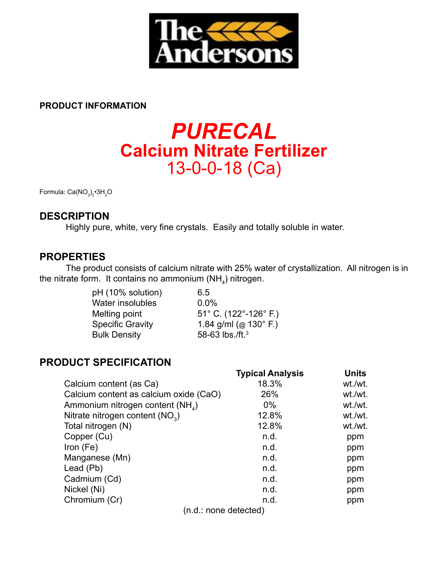

### **PRODUCT INFORMATION**

# *PURECAL* **Calcium Nitrate Fertilizer** 13-0-0-18 (Ca)

Formula: Ca(NO $_3)_2$ •3H $_2$ O

# **DESCRIPTION**

 Highly pure, white, very fine crystals. Easily and totally soluble in water.

## **PROPERTIES**

 The product consists of calcium nitrate with 25% water of crystallization. All nitrogen is in the nitrate form. It contains no ammonium (NH<sub>4</sub>) nitrogen.

> pH (10% solution) 6.5 Water insolubles 0.0% Bulk Density 58-63 lbs./ft.<sup>3</sup>

Melting point 51° C. (122°-126° F.)<br>Specific Gravity 1.84 g/ml (@ 130° F.) 1.84 g/ml (@ 130 $^{\circ}$  F.)

# **PRODUCT SPECIFICATION**

|                                             | Typical Analysis | Units   |
|---------------------------------------------|------------------|---------|
| Calcium content (as Ca)                     | 18.3%            | wt./wt. |
| Calcium content as calcium oxide (CaO)      | 26%              | wt./wt. |
| Ammonium nitrogen content $(NH_A)$          | $0\%$            | wt./wt. |
| Nitrate nitrogen content (NO <sub>3</sub> ) | 12.8%            | wt./wt. |
| Total nitrogen (N)                          | 12.8%            | wt./wt. |
| Copper (Cu)                                 | n.d.             | ppm     |
| Iron $(Fe)$                                 | n.d.             | ppm     |
| Manganese (Mn)                              | n.d.             | ppm     |
| Lead (Pb)                                   | n.d.             | ppm     |
| Cadmium (Cd)                                | n.d.             | ppm     |
| Nickel (Ni)                                 | n.d.             | ppm     |
| Chromium (Cr)                               | n.d.             | ppm     |
| (n.d.: none detected)                       |                  |         |